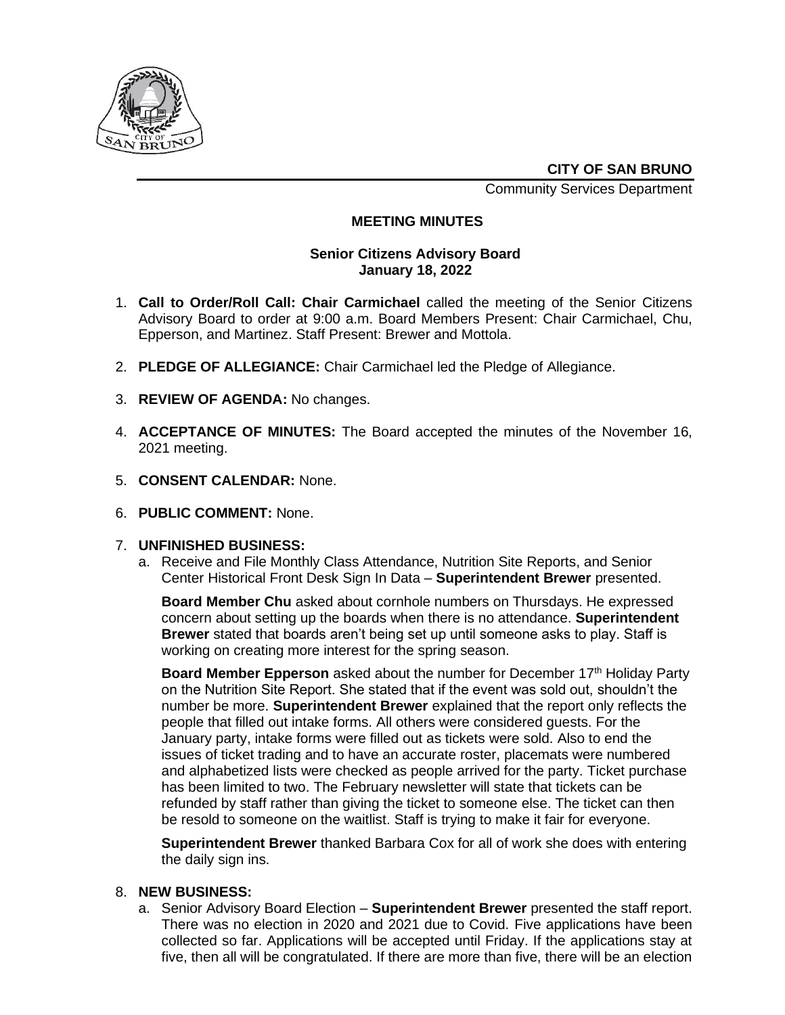

**CITY OF SAN BRUNO**

Community Services Department

# **MEETING MINUTES**

### **Senior Citizens Advisory Board January 18, 2022**

- 1. **Call to Order/Roll Call: Chair Carmichael** called the meeting of the Senior Citizens Advisory Board to order at 9:00 a.m. Board Members Present: Chair Carmichael, Chu, Epperson, and Martinez. Staff Present: Brewer and Mottola.
- 2. **PLEDGE OF ALLEGIANCE:** Chair Carmichael led the Pledge of Allegiance.
- 3. **REVIEW OF AGENDA:** No changes.
- 4. **ACCEPTANCE OF MINUTES:** The Board accepted the minutes of the November 16, 2021 meeting.
- 5. **CONSENT CALENDAR:** None.
- 6. **PUBLIC COMMENT:** None.

#### 7. **UNFINISHED BUSINESS:**

a. Receive and File Monthly Class Attendance, Nutrition Site Reports, and Senior Center Historical Front Desk Sign In Data – **Superintendent Brewer** presented.

**Board Member Chu** asked about cornhole numbers on Thursdays. He expressed concern about setting up the boards when there is no attendance. **Superintendent Brewer** stated that boards aren't being set up until someone asks to play. Staff is working on creating more interest for the spring season.

**Board Member Epperson** asked about the number for December 17<sup>th</sup> Holiday Party on the Nutrition Site Report. She stated that if the event was sold out, shouldn't the number be more. **Superintendent Brewer** explained that the report only reflects the people that filled out intake forms. All others were considered guests. For the January party, intake forms were filled out as tickets were sold. Also to end the issues of ticket trading and to have an accurate roster, placemats were numbered and alphabetized lists were checked as people arrived for the party. Ticket purchase has been limited to two. The February newsletter will state that tickets can be refunded by staff rather than giving the ticket to someone else. The ticket can then be resold to someone on the waitlist. Staff is trying to make it fair for everyone.

**Superintendent Brewer** thanked Barbara Cox for all of work she does with entering the daily sign ins.

#### 8. **NEW BUSINESS:**

a. Senior Advisory Board Election – **Superintendent Brewer** presented the staff report. There was no election in 2020 and 2021 due to Covid. Five applications have been collected so far. Applications will be accepted until Friday. If the applications stay at five, then all will be congratulated. If there are more than five, there will be an election